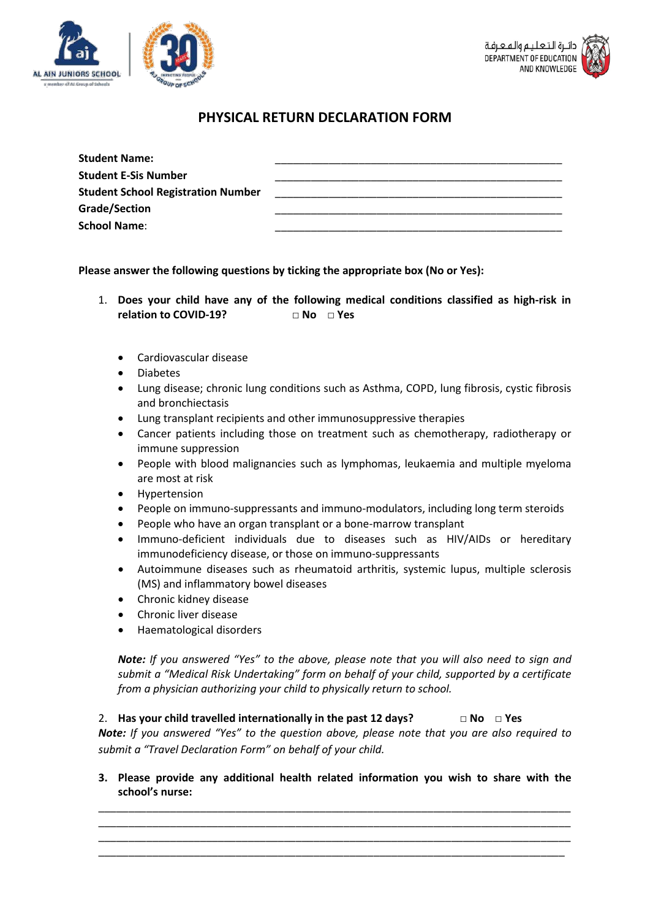



## **PHYSICAL RETURN DECLARATION FORM**

| <b>Student Name:</b>                      |  |  |
|-------------------------------------------|--|--|
| <b>Student E-Sis Number</b>               |  |  |
| <b>Student School Registration Number</b> |  |  |
| <b>Grade/Section</b>                      |  |  |
| <b>School Name:</b>                       |  |  |

**Please answer the following questions by ticking the appropriate box (No or Yes):**

- 1. **Does your child have any of the following medical conditions classified as high-risk in relation to COVID-19? □ No □ Yes**
	- Cardiovascular disease
	- Diabetes
	- Lung disease; chronic lung conditions such as Asthma, COPD, lung fibrosis, cystic fibrosis and bronchiectasis
	- Lung transplant recipients and other immunosuppressive therapies
	- Cancer patients including those on treatment such as chemotherapy, radiotherapy or immune suppression
	- People with blood malignancies such as lymphomas, leukaemia and multiple myeloma are most at risk
	- Hypertension
	- People on immuno-suppressants and immuno-modulators, including long term steroids
	- People who have an organ transplant or a bone-marrow transplant
	- Immuno-deficient individuals due to diseases such as HIV/AIDs or hereditary immunodeficiency disease, or those on immuno-suppressants
	- Autoimmune diseases such as rheumatoid arthritis, systemic lupus, multiple sclerosis (MS) and inflammatory bowel diseases
	- Chronic kidney disease
	- Chronic liver disease
	- Haematological disorders

*Note: If you answered "Yes" to the above, please note that you will also need to sign and submit a "Medical Risk Undertaking" form on behalf of your child, supported by a certificate from a physician authorizing your child to physically return to school.* 

2. **Has your child travelled internationally in the past 12 days? □ No □ Yes** *Note: If you answered "Yes" to the question above, please note that you are also required to submit a "Travel Declaration Form" on behalf of your child.* 

**3. Please provide any additional health related information you wish to share with the school's nurse:** 

\_\_\_\_\_\_\_\_\_\_\_\_\_\_\_\_\_\_\_\_\_\_\_\_\_\_\_\_\_\_\_\_\_\_\_\_\_\_\_\_\_\_\_\_\_\_\_\_\_\_\_\_\_\_\_\_\_\_\_\_\_\_\_\_\_\_\_\_\_\_\_\_\_\_\_\_\_\_\_ \_\_\_\_\_\_\_\_\_\_\_\_\_\_\_\_\_\_\_\_\_\_\_\_\_\_\_\_\_\_\_\_\_\_\_\_\_\_\_\_\_\_\_\_\_\_\_\_\_\_\_\_\_\_\_\_\_\_\_\_\_\_\_\_\_\_\_\_\_\_\_\_\_\_\_\_\_\_\_ \_\_\_\_\_\_\_\_\_\_\_\_\_\_\_\_\_\_\_\_\_\_\_\_\_\_\_\_\_\_\_\_\_\_\_\_\_\_\_\_\_\_\_\_\_\_\_\_\_\_\_\_\_\_\_\_\_\_\_\_\_\_\_\_\_\_\_\_\_\_\_\_\_\_\_\_\_\_\_ \_\_\_\_\_\_\_\_\_\_\_\_\_\_\_\_\_\_\_\_\_\_\_\_\_\_\_\_\_\_\_\_\_\_\_\_\_\_\_\_\_\_\_\_\_\_\_\_\_\_\_\_\_\_\_\_\_\_\_\_\_\_\_\_\_\_\_\_\_\_\_\_\_\_\_\_\_\_